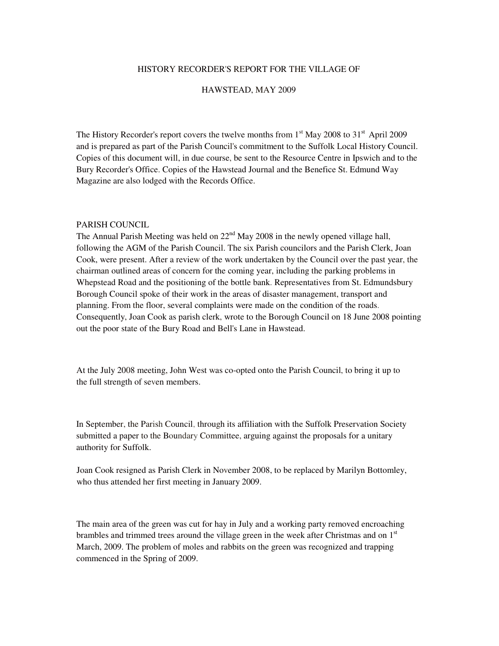#### HISTORY RECORDER'S REPORT FOR THE VILLAGE OF

#### HAWSTEAD, MAY 2009

The History Recorder's report covers the twelve months from  $1<sup>st</sup>$  May 2008 to  $31<sup>st</sup>$  April 2009 and is prepared as part of the Parish Council's commitment to the Suffolk Local History Council. Copies of this document will, in due course, be sent to the Resource Centre in Ipswich and to the Bury Recorder's Office. Copies of the Hawstead Journal and the Benefice St. Edmund Way Magazine are also lodged with the Records Office.

## PARISH COUNCIL

The Annual Parish Meeting was held on  $22<sup>nd</sup>$  May 2008 in the newly opened village hall, following the AGM of the Parish Council. The six Parish councilors and the Parish Clerk, Joan Cook, were present. After a review of the work undertaken by the Council over the past year, the chairman outlined areas of concern for the coming year, including the parking problems in Whepstead Road and the positioning of the bottle bank. Representatives from St. Edmundsbury Borough Council spoke of their work in the areas of disaster management, transport and planning. From the floor, several complaints were made on the condition of the roads. Consequently, Joan Cook as parish clerk, wrote to the Borough Council on 18 June 2008 pointing out the poor state of the Bury Road and Bell's Lane in Hawstead.

At the July 2008 meeting, John West was co-opted onto the Parish Council, to bring it up to the full strength of seven members.

In September, the Parish Council, through its affiliation with the Suffolk Preservation Society submitted a paper to the Boundary Committee, arguing against the proposals for a unitary authority for Suffolk.

Joan Cook resigned as Parish Clerk in November 2008, to be replaced by Marilyn Bottomley, who thus attended her first meeting in January 2009.

The main area of the green was cut for hay in July and a working party removed encroaching brambles and trimmed trees around the village green in the week after Christmas and on  $1<sup>st</sup>$ March, 2009. The problem of moles and rabbits on the green was recognized and trapping commenced in the Spring of 2009.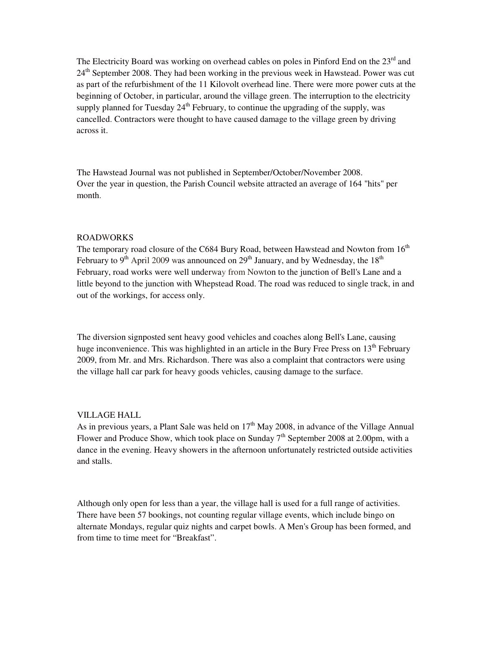The Electricity Board was working on overhead cables on poles in Pinford End on the 23<sup>rd</sup> and 24<sup>th</sup> September 2008. They had been working in the previous week in Hawstead. Power was cut as part of the refurbishment of the 11 Kilovolt overhead line. There were more power cuts at the beginning of October, in particular, around the village green. The interruption to the electricity supply planned for Tuesday  $24<sup>th</sup>$  February, to continue the upgrading of the supply, was cancelled. Contractors were thought to have caused damage to the village green by driving across it.

The Hawstead Journal was not published in September/October/November 2008. Over the year in question, the Parish Council website attracted an average of 164 "hits" per month.

# ROADWORKS

The temporary road closure of the C684 Bury Road, between Hawstead and Nowton from  $16<sup>th</sup>$ February to  $9<sup>th</sup>$  April 2009 was announced on  $29<sup>th</sup>$  January, and by Wednesday, the  $18<sup>th</sup>$ February, road works were well underway from Nowton to the junction of Bell's Lane and a little beyond to the junction with Whepstead Road. The road was reduced to single track, in and out of the workings, for access only.

The diversion signposted sent heavy good vehicles and coaches along Bell's Lane, causing huge inconvenience. This was highlighted in an article in the Bury Free Press on 13<sup>th</sup> February 2009, from Mr. and Mrs. Richardson. There was also a complaint that contractors were using the village hall car park for heavy goods vehicles, causing damage to the surface.

### VILLAGE HALL

As in previous years, a Plant Sale was held on  $17<sup>th</sup>$  May 2008, in advance of the Village Annual Flower and Produce Show, which took place on Sunday  $7<sup>th</sup>$  September 2008 at 2.00pm, with a dance in the evening. Heavy showers in the afternoon unfortunately restricted outside activities and stalls.

Although only open for less than a year, the village hall is used for a full range of activities. There have been 57 bookings, not counting regular village events, which include bingo on alternate Mondays, regular quiz nights and carpet bowls. A Men's Group has been formed, and from time to time meet for "Breakfast".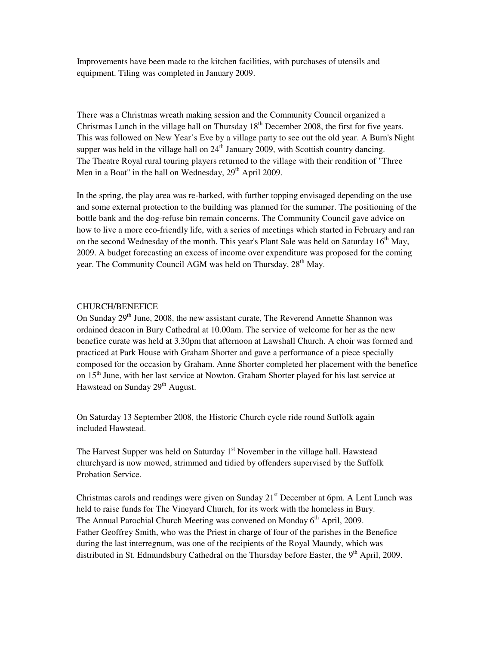Improvements have been made to the kitchen facilities, with purchases of utensils and equipment. Tiling was completed in January 2009.

There was a Christmas wreath making session and the Community Council organized a Christmas Lunch in the village hall on Thursday  $18<sup>th</sup>$  December 2008, the first for five years. This was followed on New Year's Eve by a village party to see out the old year. A Burn's Night supper was held in the village hall on  $24<sup>th</sup>$  January 2009, with Scottish country dancing. The Theatre Royal rural touring players returned to the village with their rendition of "Three Men in a Boat" in the hall on Wednesday,  $29<sup>th</sup>$  April 2009.

In the spring, the play area was re-barked, with further topping envisaged depending on the use and some external protection to the building was planned for the summer. The positioning of the bottle bank and the dog-refuse bin remain concerns. The Community Council gave advice on how to live a more eco-friendly life, with a series of meetings which started in February and ran on the second Wednesday of the month. This year's Plant Sale was held on Saturday 16<sup>th</sup> May, 2009. A budget forecasting an excess of income over expenditure was proposed for the coming year. The Community Council AGM was held on Thursday, 28<sup>th</sup> May.

## CHURCH/BENEFICE

On Sunday 29<sup>th</sup> June, 2008, the new assistant curate, The Reverend Annette Shannon was ordained deacon in Bury Cathedral at 10.00am. The service of welcome for her as the new benefice curate was held at 3.30pm that afternoon at Lawshall Church. A choir was formed and practiced at Park House with Graham Shorter and gave a performance of a piece specially composed for the occasion by Graham. Anne Shorter completed her placement with the benefice on 15<sup>th</sup> June, with her last service at Nowton. Graham Shorter played for his last service at Hawstead on Sunday 29<sup>th</sup> August.

On Saturday 13 September 2008, the Historic Church cycle ride round Suffolk again included Hawstead.

The Harvest Supper was held on Saturday 1<sup>st</sup> November in the village hall. Hawstead churchyard is now mowed, strimmed and tidied by offenders supervised by the Suffolk Probation Service.

Christmas carols and readings were given on Sunday  $21<sup>st</sup>$  December at 6pm. A Lent Lunch was held to raise funds for The Vineyard Church, for its work with the homeless in Bury. The Annual Parochial Church Meeting was convened on Monday 6<sup>th</sup> April, 2009. Father Geoffrey Smith, who was the Priest in charge of four of the parishes in the Benefice during the last interregnum, was one of the recipients of the Royal Maundy, which was distributed in St. Edmundsbury Cathedral on the Thursday before Easter, the  $9<sup>th</sup>$  April, 2009.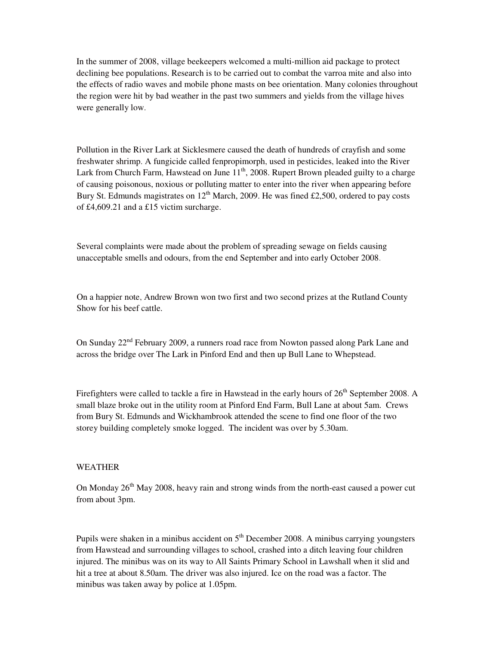In the summer of 2008, village beekeepers welcomed a multi-million aid package to protect declining bee populations. Research is to be carried out to combat the varroa mite and also into the effects of radio waves and mobile phone masts on bee orientation. Many colonies throughout the region were hit by bad weather in the past two summers and yields from the village hives were generally low.

Pollution in the River Lark at Sicklesmere caused the death of hundreds of crayfish and some freshwater shrimp. A fungicide called fenpropimorph, used in pesticides, leaked into the River Lark from Church Farm, Hawstead on June 11<sup>th</sup>, 2008. Rupert Brown pleaded guilty to a charge of causing poisonous, noxious or polluting matter to enter into the river when appearing before Bury St. Edmunds magistrates on  $12<sup>th</sup>$  March, 2009. He was fined £2,500, ordered to pay costs of £4,609.21 and a £15 victim surcharge.

Several complaints were made about the problem of spreading sewage on fields causing unacceptable smells and odours, from the end September and into early October 2008.

On a happier note, Andrew Brown won two first and two second prizes at the Rutland County Show for his beef cattle.

On Sunday 22<sup>nd</sup> February 2009, a runners road race from Nowton passed along Park Lane and across the bridge over The Lark in Pinford End and then up Bull Lane to Whepstead.

Firefighters were called to tackle a fire in Hawstead in the early hours of 26<sup>th</sup> September 2008. A small blaze broke out in the utility room at Pinford End Farm, Bull Lane at about 5am. Crews from Bury St. Edmunds and Wickhambrook attended the scene to find one floor of the two storey building completely smoke logged. The incident was over by 5.30am.

# WEATHER

On Monday 26<sup>th</sup> May 2008, heavy rain and strong winds from the north-east caused a power cut from about 3pm.

Pupils were shaken in a minibus accident on  $5<sup>th</sup>$  December 2008. A minibus carrying youngsters from Hawstead and surrounding villages to school, crashed into a ditch leaving four children injured. The minibus was on its way to All Saints Primary School in Lawshall when it slid and hit a tree at about 8.50am. The driver was also injured. Ice on the road was a factor. The minibus was taken away by police at 1.05pm.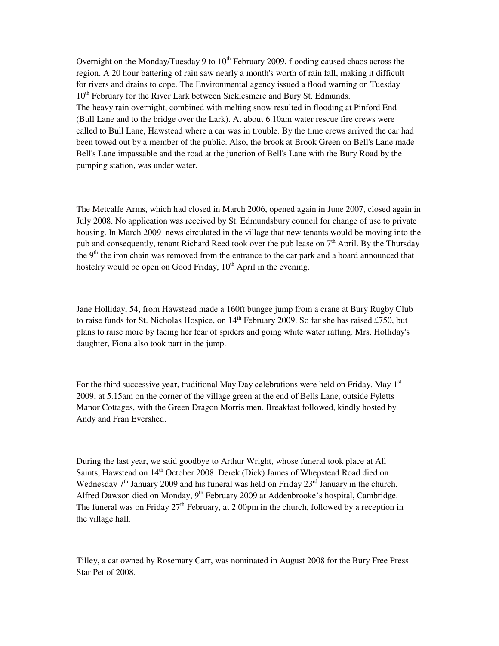Overnight on the Monday/Tuesday 9 to  $10<sup>th</sup>$  February 2009, flooding caused chaos across the region. A 20 hour battering of rain saw nearly a month's worth of rain fall, making it difficult for rivers and drains to cope. The Environmental agency issued a flood warning on Tuesday 10<sup>th</sup> February for the River Lark between Sicklesmere and Bury St. Edmunds. The heavy rain overnight, combined with melting snow resulted in flooding at Pinford End (Bull Lane and to the bridge over the Lark). At about 6.10am water rescue fire crews were called to Bull Lane, Hawstead where a car was in trouble. By the time crews arrived the car had been towed out by a member of the public. Also, the brook at Brook Green on Bell's Lane made Bell's Lane impassable and the road at the junction of Bell's Lane with the Bury Road by the pumping station, was under water.

The Metcalfe Arms, which had closed in March 2006, opened again in June 2007, closed again in July 2008. No application was received by St. Edmundsbury council for change of use to private housing. In March 2009 news circulated in the village that new tenants would be moving into the pub and consequently, tenant Richard Reed took over the pub lease on  $7<sup>th</sup>$  April. By the Thursday the 9<sup>th</sup> the iron chain was removed from the entrance to the car park and a board announced that hostelry would be open on Good Friday,  $10<sup>th</sup>$  April in the evening.

Jane Holliday, 54, from Hawstead made a 160ft bungee jump from a crane at Bury Rugby Club to raise funds for St. Nicholas Hospice, on  $14<sup>th</sup>$  February 2009. So far she has raised £750, but plans to raise more by facing her fear of spiders and going white water rafting. Mrs. Holliday's daughter, Fiona also took part in the jump.

For the third successive year, traditional May Day celebrations were held on Friday, May  $1<sup>st</sup>$ 2009, at 5.15am on the corner of the village green at the end of Bells Lane, outside Fyletts Manor Cottages, with the Green Dragon Morris men. Breakfast followed, kindly hosted by Andy and Fran Evershed.

During the last year, we said goodbye to Arthur Wright, whose funeral took place at All Saints. Hawstead on 14<sup>th</sup> October 2008. Derek (Dick) James of Whepstead Road died on Wednesday  $7<sup>th</sup>$  January 2009 and his funeral was held on Friday  $23<sup>rd</sup>$  January in the church. Alfred Dawson died on Monday,  $9<sup>th</sup>$  February 2009 at Addenbrooke's hospital, Cambridge. The funeral was on Friday  $27<sup>th</sup>$  February, at 2.00pm in the church, followed by a reception in the village hall.

Tilley, a cat owned by Rosemary Carr, was nominated in August 2008 for the Bury Free Press Star Pet of 2008.